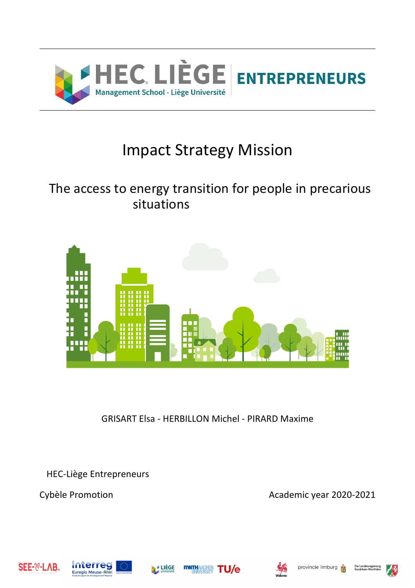

## Impact Strategy Mission

## The access to energy transition for people in precarious situations



GRISART Elsa - HERBILLON Michel - PIRARD Maxime

HEC-Liège Entrepreneurs

Cybèle Promotion **Academic year 2020-2021** 







RWTH



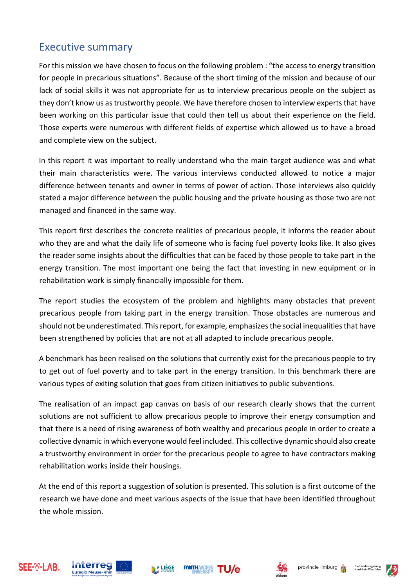### Executive summary

For this mission we have chosen to focus on the following problem : "the access to energy transition for people in precarious situations". Because of the short timing of the mission and because of our lack of social skills it was not appropriate for us to interview precarious people on the subject as they don't know us as trustworthy people. We have therefore chosen to interview experts that have been working on this particular issue that could then tell us about their experience on the field. Those experts were numerous with different fields of expertise which allowed us to have a broad and complete view on the subject.

In this report it was important to really understand who the main target audience was and what their main characteristics were. The various interviews conducted allowed to notice a major difference between tenants and owner in terms of power of action. Those interviews also quickly stated a major difference between the public housing and the private housing as those two are not managed and financed in the same way.

This report first describes the concrete realities of precarious people, it informs the reader about who they are and what the daily life of someone who is facing fuel poverty looks like. It also gives the reader some insights about the difficulties that can be faced by those people to take part in the energy transition. The most important one being the fact that investing in new equipment or in rehabilitation work is simply financially impossible for them.

The report studies the ecosystem of the problem and highlights many obstacles that prevent precarious people from taking part in the energy transition. Those obstacles are numerous and should not be underestimated. This report, for example, emphasizes the social inequalities that have been strengthened by policies that are not at all adapted to include precarious people.

A benchmark has been realised on the solutions that currently exist for the precarious people to try to get out of fuel poverty and to take part in the energy transition. In this benchmark there are various types of exiting solution that goes from citizen initiatives to public subventions.

The realisation of an impact gap canvas on basis of our research clearly shows that the current solutions are not sufficient to allow precarious people to improve their energy consumption and that there is a need of rising awareness of both wealthy and precarious people in order to create a collective dynamic in which everyone would feel included. This collective dynamic should also create a trustworthy environment in order for the precarious people to agree to have contractors making rehabilitation works inside their housings.

At the end of this report a suggestion of solution is presented. This solution is a first outcome of the research we have done and meet various aspects of the issue that have been identified throughout the whole mission.







**RWTH/** 



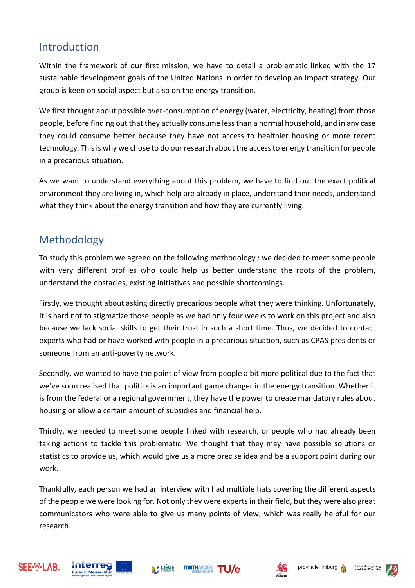## Introduction

Within the framework of our first mission, we have to detail a problematic linked with the 17 sustainable development goals of the United Nations in order to develop an impact strategy. Our group is keen on social aspect but also on the energy transition.

We first thought about possible over-consumption of energy (water, electricity, heating) from those people, before finding out that they actually consume less than a normal household, and in any case they could consume better because they have not access to healthier housing or more recent technology. This is why we chose to do our research about the access to energy transition for people in a precarious situation.

As we want to understand everything about this problem, we have to find out the exact political environment they are living in, which help are already in place, understand their needs, understand what they think about the energy transition and how they are currently living.

## Methodology

To study this problem we agreed on the following methodology : we decided to meet some people with very different profiles who could help us better understand the roots of the problem, understand the obstacles, existing initiatives and possible shortcomings.

Firstly, we thought about asking directly precarious people what they were thinking. Unfortunately, it is hard not to stigmatize those people as we had only four weeks to work on this project and also because we lack social skills to get their trust in such a short time. Thus, we decided to contact experts who had or have worked with people in a precarious situation, such as CPAS presidents or someone from an anti-poverty network.

Secondly, we wanted to have the point of view from people a bit more political due to the fact that we've soon realised that politics is an important game changer in the energy transition. Whether it is from the federal or a regional government, they have the power to create mandatory rules about housing or allow a certain amount of subsidies and financial help.

Thirdly, we needed to meet some people linked with research, or people who had already been taking actions to tackle this problematic. We thought that they may have possible solutions or statistics to provide us, which would give us a more precise idea and be a support point during our work.

Thankfully, each person we had an interview with had multiple hats covering the different aspects of the people we were looking for. Not only they were experts in their field, but they were also great communicators who were able to give us many points of view, which was really helpful for our research.

**RWTH/** 









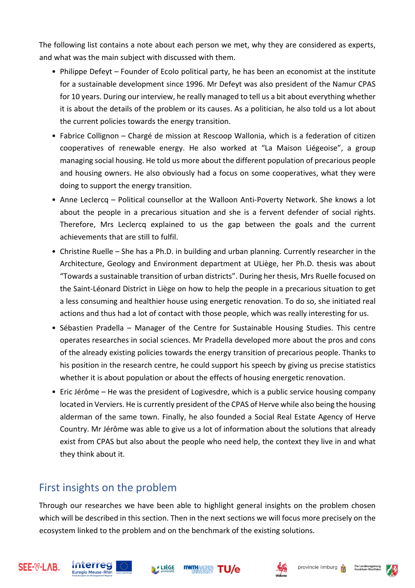The following list contains a note about each person we met, why they are considered as experts, and what was the main subject with discussed with them.

- Philippe Defeyt Founder of Ecolo political party, he has been an economist at the institute for a sustainable development since 1996. Mr Defeyt was also president of the Namur CPAS for 10 years. During our interview, he really managed to tell us a bit about everything whether it is about the details of the problem or its causes. As a politician, he also told us a lot about the current policies towards the energy transition.
- Fabrice Collignon Chargé de mission at Rescoop Wallonia, which is a federation of citizen cooperatives of renewable energy. He also worked at "La Maison Liégeoise", a group managing social housing. He told us more about the different population of precarious people and housing owners. He also obviously had a focus on some cooperatives, what they were doing to support the energy transition.
- Anne Leclercq Political counsellor at the Walloon Anti-Poverty Network. She knows a lot about the people in a precarious situation and she is a fervent defender of social rights. Therefore, Mrs Leclercq explained to us the gap between the goals and the current achievements that are still to fulfil.
- Christine Ruelle She has a Ph.D. in building and urban planning. Currently researcher in the Architecture, Geology and Environment department at ULiège, her Ph.D. thesis was about "Towards a sustainable transition of urban districts". During her thesis, Mrs Ruelle focused on the Saint-Léonard District in Liège on how to help the people in a precarious situation to get a less consuming and healthier house using energetic renovation. To do so, she initiated real actions and thus had a lot of contact with those people, which was really interesting for us.
- Sébastien Pradella Manager of the Centre for Sustainable Housing Studies. This centre operates researches in social sciences. Mr Pradella developed more about the pros and cons of the already existing policies towards the energy transition of precarious people. Thanks to his position in the research centre, he could support his speech by giving us precise statistics whether it is about population or about the effects of housing energetic renovation.
- Eric Jérôme He was the president of Logivesdre, which is a public service housing company located in Verviers. He is currently president of the CPAS of Herve while also being the housing alderman of the same town. Finally, he also founded a Social Real Estate Agency of Herve Country. Mr Jérôme was able to give us a lot of information about the solutions that already exist from CPAS but also about the people who need help, the context they live in and what they think about it.

## First insights on the problem

Through our researches we have been able to highlight general insights on the problem chosen which will be described in this section. Then in the next sections we will focus more precisely on the ecosystem linked to the problem and on the benchmark of the existing solutions.

**RWTHAACHEN** 











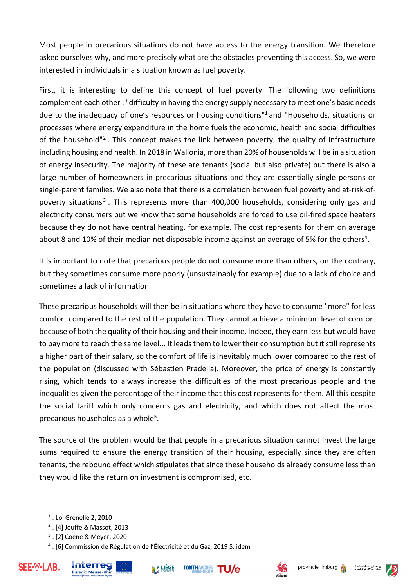Most people in precarious situations do not have access to the energy transition. We therefore asked ourselves why, and more precisely what are the obstacles preventing this access. So, we were interested in individuals in a situation known as fuel poverty.

First, it is interesting to define this concept of fuel poverty. The following two definitions complement each other : "difficulty in having the energy supply necessary to meet one's basic needs due to the inadequacy of one's resources or housing conditions"1 and "Households, situations or processes where energy expenditure in the home fuels the economic, health and social difficulties of the household"2 . This concept makes the link between poverty, the quality of infrastructure including housing and health. In 2018 in Wallonia, more than 20% of households will be in a situation of energy insecurity. The majority of these are tenants (social but also private) but there is also a large number of homeowners in precarious situations and they are essentially single persons or single-parent families. We also note that there is a correlation between fuel poverty and at-risk-ofpoverty situations<sup>3</sup>. This represents more than 400,000 households, considering only gas and electricity consumers but we know that some households are forced to use oil-fired space heaters because they do not have central heating, for example. The cost represents for them on average about 8 and 10% of their median net disposable income against an average of 5% for the others<sup>4</sup>.

It is important to note that precarious people do not consume more than others, on the contrary, but they sometimes consume more poorly (unsustainably for example) due to a lack of choice and sometimes a lack of information.

These precarious households will then be in situations where they have to consume "more" for less comfort compared to the rest of the population. They cannot achieve a minimum level of comfort because of both the quality of their housing and their income. Indeed, they earn less but would have to pay more to reach the same level... It leads them to lower their consumption but it still represents a higher part of their salary, so the comfort of life is inevitably much lower compared to the rest of the population (discussed with Sébastien Pradella). Moreover, the price of energy is constantly rising, which tends to always increase the difficulties of the most precarious people and the inequalities given the percentage of their income that this cost represents for them. All this despite the social tariff which only concerns gas and electricity, and which does not affect the most precarious households as a whole<sup>5</sup>.

The source of the problem would be that people in a precarious situation cannot invest the large sums required to ensure the energy transition of their housing, especially since they are often tenants, the rebound effect which stipulates that since these households already consume less than they would like the return on investment is compromised, etc.

<sup>4</sup> . [6] Commission de Régulation de l'Électricité et du Gaz, 2019 5. idem







$$
\mathsf{TU}/\mathsf{e}
$$





<sup>1</sup> . Loi Grenelle 2, 2010

<sup>2</sup> . [4] Jouffe & Massot, 2013

<sup>3</sup> . [2] Coene & Meyer, 2020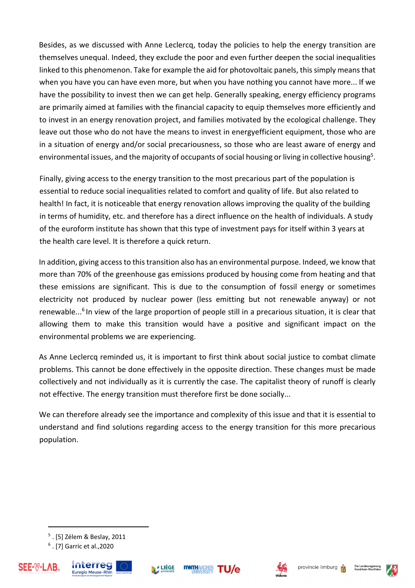Besides, as we discussed with Anne Leclercq, today the policies to help the energy transition are themselves unequal. Indeed, they exclude the poor and even further deepen the social inequalities linked to this phenomenon. Take for example the aid for photovoltaic panels, this simply means that when you have you can have even more, but when you have nothing you cannot have more... If we have the possibility to invest then we can get help. Generally speaking, energy efficiency programs are primarily aimed at families with the financial capacity to equip themselves more efficiently and to invest in an energy renovation project, and families motivated by the ecological challenge. They leave out those who do not have the means to invest in energyefficient equipment, those who are in a situation of energy and/or social precariousness, so those who are least aware of energy and environmental issues, and the majority of occupants of social housing or living in collective housing<sup>5</sup>.

Finally, giving access to the energy transition to the most precarious part of the population is essential to reduce social inequalities related to comfort and quality of life. But also related to health! In fact, it is noticeable that energy renovation allows improving the quality of the building in terms of humidity, etc. and therefore has a direct influence on the health of individuals. A study of the euroform institute has shown that this type of investment pays for itself within 3 years at the health care level. It is therefore a quick return.

In addition, giving access to this transition also has an environmental purpose. Indeed, we know that more than 70% of the greenhouse gas emissions produced by housing come from heating and that these emissions are significant. This is due to the consumption of fossil energy or sometimes electricity not produced by nuclear power (less emitting but not renewable anyway) or not renewable...<sup>6</sup> In view of the large proportion of people still in a precarious situation, it is clear that allowing them to make this transition would have a positive and significant impact on the environmental problems we are experiencing.

As Anne Leclercq reminded us, it is important to first think about social justice to combat climate problems. This cannot be done effectively in the opposite direction. These changes must be made collectively and not individually as it is currently the case. The capitalist theory of runoff is clearly not effective. The energy transition must therefore first be done socially...

We can therefore already see the importance and complexity of this issue and that it is essential to understand and find solutions regarding access to the energy transition for this more precarious population.

<sup>6</sup> . [7] Garric et al.,2020







**RWTHAAC** 

TU/e





<sup>5</sup> . [5] Zélem & Beslay, 2011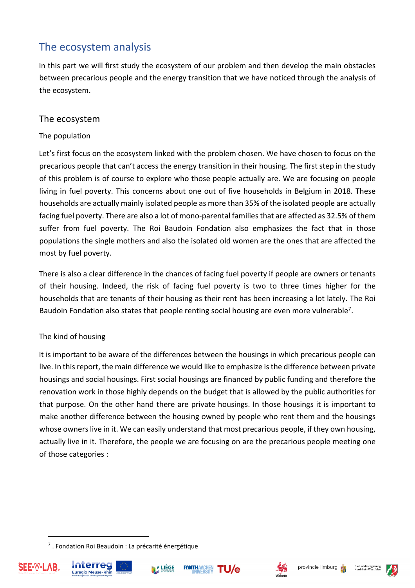## The ecosystem analysis

In this part we will first study the ecosystem of our problem and then develop the main obstacles between precarious people and the energy transition that we have noticed through the analysis of the ecosystem.

#### The ecosystem

#### The population

Let's first focus on the ecosystem linked with the problem chosen. We have chosen to focus on the precarious people that can't access the energy transition in their housing. The first step in the study of this problem is of course to explore who those people actually are. We are focusing on people living in fuel poverty. This concerns about one out of five households in Belgium in 2018. These households are actually mainly isolated people as more than 35% of the isolated people are actually facing fuel poverty. There are also a lot of mono-parental families that are affected as 32.5% of them suffer from fuel poverty. The Roi Baudoin Fondation also emphasizes the fact that in those populations the single mothers and also the isolated old women are the ones that are affected the most by fuel poverty.

There is also a clear difference in the chances of facing fuel poverty if people are owners or tenants of their housing. Indeed, the risk of facing fuel poverty is two to three times higher for the households that are tenants of their housing as their rent has been increasing a lot lately. The Roi Baudoin Fondation also states that people renting social housing are even more vulnerable<sup>7</sup>.

#### The kind of housing

It is important to be aware of the differences between the housings in which precarious people can live. In this report, the main difference we would like to emphasize is the difference between private housings and social housings. First social housings are financed by public funding and therefore the renovation work in those highly depends on the budget that is allowed by the public authorities for that purpose. On the other hand there are private housings. In those housings it is important to make another difference between the housing owned by people who rent them and the housings whose owners live in it. We can easily understand that most precarious people, if they own housing, actually live in it. Therefore, the people we are focusing on are the precarious people meeting one of those categories :

<sup>7</sup> . Fondation Roi Beaudoin : La précarité énergétique







**RWTHAACHE** 



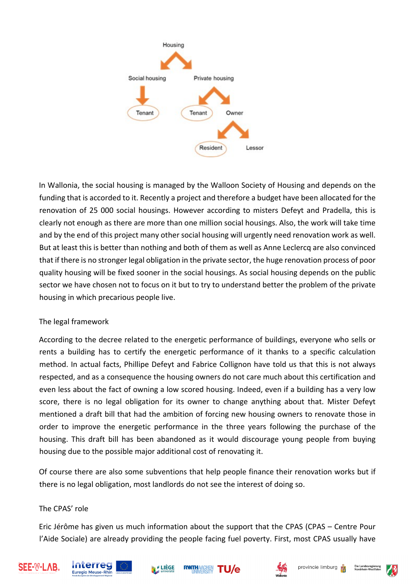

In Wallonia, the social housing is managed by the Walloon Society of Housing and depends on the funding that is accorded to it. Recently a project and therefore a budget have been allocated for the renovation of 25 000 social housings. However according to misters Defeyt and Pradella, this is clearly not enough as there are more than one million social housings. Also, the work will take time and by the end of this project many other social housing will urgently need renovation work as well. But at least this is better than nothing and both of them as well as Anne Leclercq are also convinced that if there is no stronger legal obligation in the private sector, the huge renovation process of poor quality housing will be fixed sooner in the social housings. As social housing depends on the public sector we have chosen not to focus on it but to try to understand better the problem of the private housing in which precarious people live.

#### The legal framework

According to the decree related to the energetic performance of buildings, everyone who sells or rents a building has to certify the energetic performance of it thanks to a specific calculation method. In actual facts, Phillipe Defeyt and Fabrice Collignon have told us that this is not always respected, and as a consequence the housing owners do not care much about this certification and even less about the fact of owning a low scored housing. Indeed, even if a building has a very low score, there is no legal obligation for its owner to change anything about that. Mister Defeyt mentioned a draft bill that had the ambition of forcing new housing owners to renovate those in order to improve the energetic performance in the three years following the purchase of the housing. This draft bill has been abandoned as it would discourage young people from buying housing due to the possible major additional cost of renovating it.

Of course there are also some subventions that help people finance their renovation works but if there is no legal obligation, most landlords do not see the interest of doing so.

#### The CPAS' role

Eric Jérôme has given us much information about the support that the CPAS (CPAS – Centre Pour l'Aide Sociale) are already providing the people facing fuel poverty. First, most CPAS usually have

**RWTHAAC** 











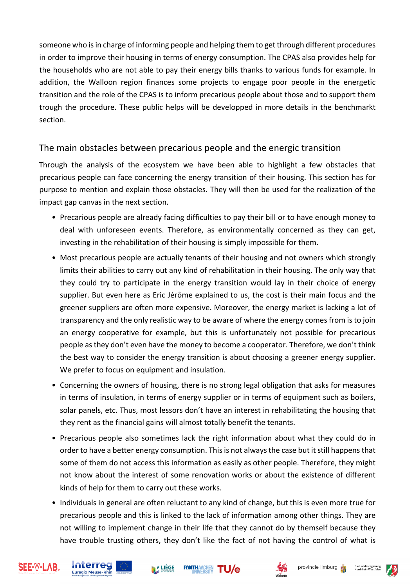someone who is in charge of informing people and helping them to get through different procedures in order to improve their housing in terms of energy consumption. The CPAS also provides help for the households who are not able to pay their energy bills thanks to various funds for example. In addition, the Walloon region finances some projects to engage poor people in the energetic transition and the role of the CPAS is to inform precarious people about those and to support them trough the procedure. These public helps will be developped in more details in the benchmarkt section.

#### The main obstacles between precarious people and the energic transition

Through the analysis of the ecosystem we have been able to highlight a few obstacles that precarious people can face concerning the energy transition of their housing. This section has for purpose to mention and explain those obstacles. They will then be used for the realization of the impact gap canvas in the next section.

- Precarious people are already facing difficulties to pay their bill or to have enough money to deal with unforeseen events. Therefore, as environmentally concerned as they can get, investing in the rehabilitation of their housing is simply impossible for them.
- Most precarious people are actually tenants of their housing and not owners which strongly limits their abilities to carry out any kind of rehabilitation in their housing. The only way that they could try to participate in the energy transition would lay in their choice of energy supplier. But even here as Eric Jérôme explained to us, the cost is their main focus and the greener suppliers are often more expensive. Moreover, the energy market is lacking a lot of transparency and the only realistic way to be aware of where the energy comes from is to join an energy cooperative for example, but this is unfortunately not possible for precarious people as they don't even have the money to become a cooperator. Therefore, we don't think the best way to consider the energy transition is about choosing a greener energy supplier. We prefer to focus on equipment and insulation.
- Concerning the owners of housing, there is no strong legal obligation that asks for measures in terms of insulation, in terms of energy supplier or in terms of equipment such as boilers, solar panels, etc. Thus, most lessors don't have an interest in rehabilitating the housing that they rent as the financial gains will almost totally benefit the tenants.
- Precarious people also sometimes lack the right information about what they could do in order to have a better energy consumption. This is not always the case but it still happens that some of them do not access this information as easily as other people. Therefore, they might not know about the interest of some renovation works or about the existence of different kinds of help for them to carry out these works.
- Individuals in general are often reluctant to any kind of change, but this is even more true for precarious people and this is linked to the lack of information among other things. They are not willing to implement change in their life that they cannot do by themself because they have trouble trusting others, they don't like the fact of not having the control of what is











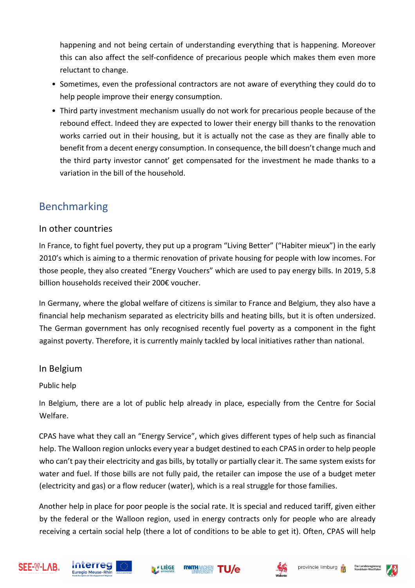happening and not being certain of understanding everything that is happening. Moreover this can also affect the self-confidence of precarious people which makes them even more reluctant to change.

- Sometimes, even the professional contractors are not aware of everything they could do to help people improve their energy consumption.
- Third party investment mechanism usually do not work for precarious people because of the rebound effect. Indeed they are expected to lower their energy bill thanks to the renovation works carried out in their housing, but it is actually not the case as they are finally able to benefit from a decent energy consumption. In consequence, the bill doesn't change much and the third party investor cannot' get compensated for the investment he made thanks to a variation in the bill of the household.

## Benchmarking

### In other countries

In France, to fight fuel poverty, they put up a program "Living Better" ("Habiter mieux") in the early 2010's which is aiming to a thermic renovation of private housing for people with low incomes. For those people, they also created "Energy Vouchers" which are used to pay energy bills. In 2019, 5.8 billion households received their 200€ voucher.

In Germany, where the global welfare of citizens is similar to France and Belgium, they also have a financial help mechanism separated as electricity bills and heating bills, but it is often undersized. The German government has only recognised recently fuel poverty as a component in the fight against poverty. Therefore, it is currently mainly tackled by local initiatives rather than national.

#### In Belgium

#### Public help

In Belgium, there are a lot of public help already in place, especially from the Centre for Social Welfare.

CPAS have what they call an "Energy Service", which gives different types of help such as financial help. The Walloon region unlocks every year a budget destined to each CPAS in order to help people who can't pay their electricity and gas bills, by totally or partially clear it. The same system exists for water and fuel. If those bills are not fully paid, the retailer can impose the use of a budget meter (electricity and gas) or a flow reducer (water), which is a real struggle for those families.

Another help in place for poor people is the social rate. It is special and reduced tariff, given either by the federal or the Walloon region, used in energy contracts only for people who are already receiving a certain social help (there a lot of conditions to be able to get it). Often, CPAS will help











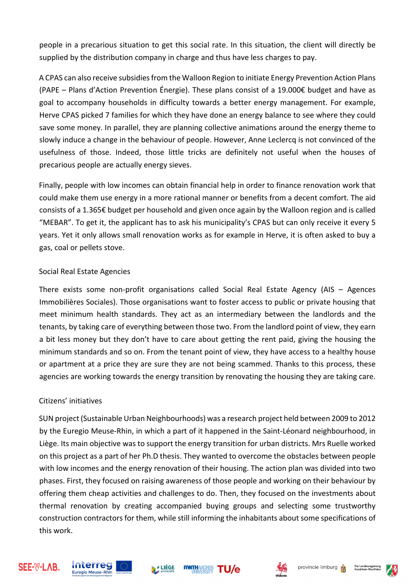people in a precarious situation to get this social rate. In this situation, the client will directly be supplied by the distribution company in charge and thus have less charges to pay.

A CPAS can also receive subsidies from the Walloon Region to initiate Energy Prevention Action Plans (PAPE – Plans d'Action Prevention Énergie). These plans consist of a 19.000€ budget and have as goal to accompany households in difficulty towards a better energy management. For example, Herve CPAS picked 7 families for which they have done an energy balance to see where they could save some money. In parallel, they are planning collective animations around the energy theme to slowly induce a change in the behaviour of people. However, Anne Leclercq is not convinced of the usefulness of those. Indeed, those little tricks are definitely not useful when the houses of precarious people are actually energy sieves.

Finally, people with low incomes can obtain financial help in order to finance renovation work that could make them use energy in a more rational manner or benefits from a decent comfort. The aid consists of a 1.365€ budget per household and given once again by the Walloon region and is called "MEBAR". To get it, the applicant has to ask his municipality's CPAS but can only receive it every 5 years. Yet it only allows small renovation works as for example in Herve, it is often asked to buy a gas, coal or pellets stove.

#### Social Real Estate Agencies

There exists some non-profit organisations called Social Real Estate Agency (AIS – Agences Immobilières Sociales). Those organisations want to foster access to public or private housing that meet minimum health standards. They act as an intermediary between the landlords and the tenants, by taking care of everything between those two. From the landlord point of view, they earn a bit less money but they don't have to care about getting the rent paid, giving the housing the minimum standards and so on. From the tenant point of view, they have access to a healthy house or apartment at a price they are sure they are not being scammed. Thanks to this process, these agencies are working towards the energy transition by renovating the housing they are taking care.

#### Citizens' initiatives

SUN project (Sustainable Urban Neighbourhoods) was a research project held between 2009 to 2012 by the Euregio Meuse-Rhin, in which a part of it happened in the Saint-Léonard neighbourhood, in Liège. Its main objective was to support the energy transition for urban districts. Mrs Ruelle worked on this project as a part of her Ph.D thesis. They wanted to overcome the obstacles between people with low incomes and the energy renovation of their housing. The action plan was divided into two phases. First, they focused on raising awareness of those people and working on their behaviour by offering them cheap activities and challenges to do. Then, they focused on the investments about thermal renovation by creating accompanied buying groups and selecting some trustworthy construction contractors for them, while still informing the inhabitants about some specifications of this work.











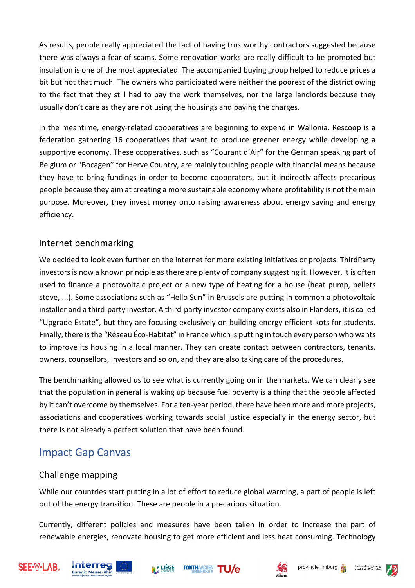As results, people really appreciated the fact of having trustworthy contractors suggested because there was always a fear of scams. Some renovation works are really difficult to be promoted but insulation is one of the most appreciated. The accompanied buying group helped to reduce prices a bit but not that much. The owners who participated were neither the poorest of the district owing to the fact that they still had to pay the work themselves, nor the large landlords because they usually don't care as they are not using the housings and paying the charges.

In the meantime, energy-related cooperatives are beginning to expend in Wallonia. Rescoop is a federation gathering 16 cooperatives that want to produce greener energy while developing a supportive economy. These cooperatives, such as "Courant d'Air" for the German speaking part of Belgium or "Bocagen" for Herve Country, are mainly touching people with financial means because they have to bring fundings in order to become cooperators, but it indirectly affects precarious people because they aim at creating a more sustainable economy where profitability is not the main purpose. Moreover, they invest money onto raising awareness about energy saving and energy efficiency.

#### Internet benchmarking

We decided to look even further on the internet for more existing initiatives or projects. ThirdParty investors is now a known principle as there are plenty of company suggesting it. However, it is often used to finance a photovoltaic project or a new type of heating for a house (heat pump, pellets stove, ...). Some associations such as "Hello Sun" in Brussels are putting in common a photovoltaic installer and a third-party investor. A third-party investor company exists also in Flanders, it is called "Upgrade Estate", but they are focusing exclusively on building energy efficient kots for students. Finally, there is the "Réseau Éco-Habitat" in France which is putting in touch every person who wants to improve its housing in a local manner. They can create contact between contractors, tenants, owners, counsellors, investors and so on, and they are also taking care of the procedures.

The benchmarking allowed us to see what is currently going on in the markets. We can clearly see that the population in general is waking up because fuel poverty is a thing that the people affected by it can't overcome by themselves. For a ten-year period, there have been more and more projects, associations and cooperatives working towards social justice especially in the energy sector, but there is not already a perfect solution that have been found.

## Impact Gap Canvas

### Challenge mapping

While our countries start putting in a lot of effort to reduce global warming, a part of people is left out of the energy transition. These are people in a precarious situation.

Currently, different policies and measures have been taken in order to increase the part of renewable energies, renovate housing to get more efficient and less heat consuming. Technology











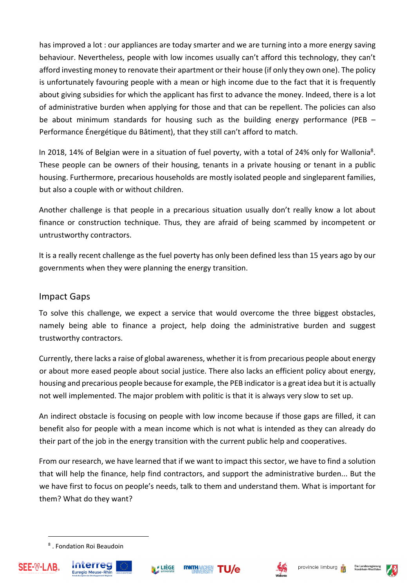has improved a lot : our appliances are today smarter and we are turning into a more energy saving behaviour. Nevertheless, people with low incomes usually can't afford this technology, they can't afford investing money to renovate their apartment or their house (if only they own one). The policy is unfortunately favouring people with a mean or high income due to the fact that it is frequently about giving subsidies for which the applicant has first to advance the money. Indeed, there is a lot of administrative burden when applying for those and that can be repellent. The policies can also be about minimum standards for housing such as the building energy performance (PEB – Performance Énergétique du Bâtiment), that they still can't afford to match.

In 2018, 14% of Belgian were in a situation of fuel poverty, with a total of 24% only for Wallonia<sup>8</sup>. These people can be owners of their housing, tenants in a private housing or tenant in a public housing. Furthermore, precarious households are mostly isolated people and singleparent families, but also a couple with or without children.

Another challenge is that people in a precarious situation usually don't really know a lot about finance or construction technique. Thus, they are afraid of being scammed by incompetent or untrustworthy contractors.

It is a really recent challenge as the fuel poverty has only been defined less than 15 years ago by our governments when they were planning the energy transition.

#### Impact Gaps

To solve this challenge, we expect a service that would overcome the three biggest obstacles, namely being able to finance a project, help doing the administrative burden and suggest trustworthy contractors.

Currently, there lacks a raise of global awareness, whether it is from precarious people about energy or about more eased people about social justice. There also lacks an efficient policy about energy, housing and precarious people because for example, the PEB indicator is a great idea but it is actually not well implemented. The major problem with politic is that it is always very slow to set up.

An indirect obstacle is focusing on people with low income because if those gaps are filled, it can benefit also for people with a mean income which is not what is intended as they can already do their part of the job in the energy transition with the current public help and cooperatives.

From our research, we have learned that if we want to impact this sector, we have to find a solution that will help the finance, help find contractors, and support the administrative burden... But the we have first to focus on people's needs, talk to them and understand them. What is important for them? What do they want?

<sup>8</sup> . Fondation Roi Beaudoin











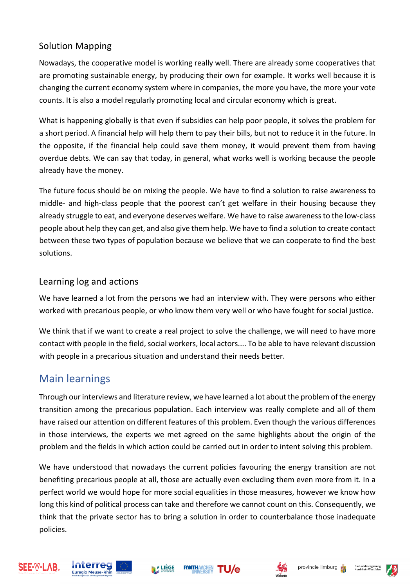### Solution Mapping

Nowadays, the cooperative model is working really well. There are already some cooperatives that are promoting sustainable energy, by producing their own for example. It works well because it is changing the current economy system where in companies, the more you have, the more your vote counts. It is also a model regularly promoting local and circular economy which is great.

What is happening globally is that even if subsidies can help poor people, it solves the problem for a short period. A financial help will help them to pay their bills, but not to reduce it in the future. In the opposite, if the financial help could save them money, it would prevent them from having overdue debts. We can say that today, in general, what works well is working because the people already have the money.

The future focus should be on mixing the people. We have to find a solution to raise awareness to middle- and high-class people that the poorest can't get welfare in their housing because they already struggle to eat, and everyone deserves welfare. We have to raise awareness to the low-class people about help they can get, and also give them help. We have to find a solution to create contact between these two types of population because we believe that we can cooperate to find the best solutions.

#### Learning log and actions

We have learned a lot from the persons we had an interview with. They were persons who either worked with precarious people, or who know them very well or who have fought for social justice.

We think that if we want to create a real project to solve the challenge, we will need to have more contact with people in the field, social workers, local actors.... To be able to have relevant discussion with people in a precarious situation and understand their needs better.

## Main learnings

Through our interviews and literature review, we have learned a lot about the problem of the energy transition among the precarious population. Each interview was really complete and all of them have raised our attention on different features of this problem. Even though the various differences in those interviews, the experts we met agreed on the same highlights about the origin of the problem and the fields in which action could be carried out in order to intent solving this problem.

We have understood that nowadays the current policies favouring the energy transition are not benefiting precarious people at all, those are actually even excluding them even more from it. In a perfect world we would hope for more social equalities in those measures, however we know how long this kind of political process can take and therefore we cannot count on this. Consequently, we think that the private sector has to bring a solution in order to counterbalance those inadequate policies.











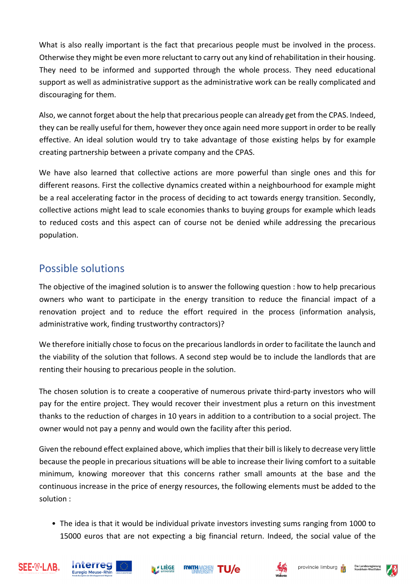What is also really important is the fact that precarious people must be involved in the process. Otherwise they might be even more reluctant to carry out any kind of rehabilitation in their housing. They need to be informed and supported through the whole process. They need educational support as well as administrative support as the administrative work can be really complicated and discouraging for them.

Also, we cannot forget about the help that precarious people can already get from the CPAS. Indeed, they can be really useful for them, however they once again need more support in order to be really effective. An ideal solution would try to take advantage of those existing helps by for example creating partnership between a private company and the CPAS.

We have also learned that collective actions are more powerful than single ones and this for different reasons. First the collective dynamics created within a neighbourhood for example might be a real accelerating factor in the process of deciding to act towards energy transition. Secondly, collective actions might lead to scale economies thanks to buying groups for example which leads to reduced costs and this aspect can of course not be denied while addressing the precarious population.

## Possible solutions

The objective of the imagined solution is to answer the following question : how to help precarious owners who want to participate in the energy transition to reduce the financial impact of a renovation project and to reduce the effort required in the process (information analysis, administrative work, finding trustworthy contractors)?

We therefore initially chose to focus on the precarious landlords in order to facilitate the launch and the viability of the solution that follows. A second step would be to include the landlords that are renting their housing to precarious people in the solution.

The chosen solution is to create a cooperative of numerous private third-party investors who will pay for the entire project. They would recover their investment plus a return on this investment thanks to the reduction of charges in 10 years in addition to a contribution to a social project. The owner would not pay a penny and would own the facility after this period.

Given the rebound effect explained above, which implies that their bill is likely to decrease very little because the people in precarious situations will be able to increase their living comfort to a suitable minimum, knowing moreover that this concerns rather small amounts at the base and the continuous increase in the price of energy resources, the following elements must be added to the solution :

• The idea is that it would be individual private investors investing sums ranging from 1000 to 15000 euros that are not expecting a big financial return. Indeed, the social value of the











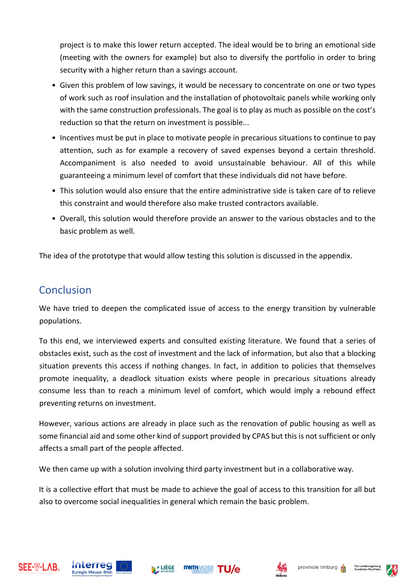project is to make this lower return accepted. The ideal would be to bring an emotional side (meeting with the owners for example) but also to diversify the portfolio in order to bring security with a higher return than a savings account.

- Given this problem of low savings, it would be necessary to concentrate on one or two types of work such as roof insulation and the installation of photovoltaic panels while working only with the same construction professionals. The goal is to play as much as possible on the cost's reduction so that the return on investment is possible...
- Incentives must be put in place to motivate people in precarious situations to continue to pay attention, such as for example a recovery of saved expenses beyond a certain threshold. Accompaniment is also needed to avoid unsustainable behaviour. All of this while guaranteeing a minimum level of comfort that these individuals did not have before.
- This solution would also ensure that the entire administrative side is taken care of to relieve this constraint and would therefore also make trusted contractors available.
- Overall, this solution would therefore provide an answer to the various obstacles and to the basic problem as well.

The idea of the prototype that would allow testing this solution is discussed in the appendix.

## Conclusion

We have tried to deepen the complicated issue of access to the energy transition by vulnerable populations.

To this end, we interviewed experts and consulted existing literature. We found that a series of obstacles exist, such as the cost of investment and the lack of information, but also that a blocking situation prevents this access if nothing changes. In fact, in addition to policies that themselves promote inequality, a deadlock situation exists where people in precarious situations already consume less than to reach a minimum level of comfort, which would imply a rebound effect preventing returns on investment.

However, various actions are already in place such as the renovation of public housing as well as some financial aid and some other kind of support provided by CPAS but this is not sufficient or only affects a small part of the people affected.

We then came up with a solution involving third party investment but in a collaborative way.

**RWTH** 

It is a collective effort that must be made to achieve the goal of access to this transition for all but also to overcome social inequalities in general which remain the basic problem.









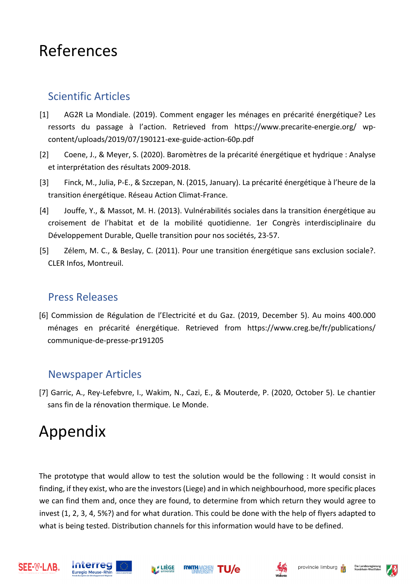## References

## Scientific Articles

- [1] AG2R La Mondiale. (2019). Comment engager les ménages en précarité énergétique? Les ressorts du passage à l'action. Retrieved from https://www.precarite-energie.org/ wpcontent/uploads/2019/07/190121-exe-guide-action-60p.pdf
- [2] Coene, J., & Meyer, S. (2020). Baromètres de la précarité énergétique et hydrique : Analyse et interprétation des résultats 2009-2018.
- [3] Finck, M., Julia, P-E., & Szczepan, N. (2015, January). La précarité énergétique à l'heure de la transition énergétique. Réseau Action Climat-France.
- [4] Jouffe, Y., & Massot, M. H. (2013). Vulnérabilités sociales dans la transition énergétique au croisement de l'habitat et de la mobilité quotidienne. 1er Congrès interdisciplinaire du Développement Durable, Quelle transition pour nos sociétés, 23-57.
- [5] Zélem, M. C., & Beslay, C. (2011). Pour une transition énergétique sans exclusion sociale?. CLER Infos, Montreuil.

## Press Releases

[6] Commission de Régulation de l'Electricité et du Gaz. (2019, December 5). Au moins 400.000 ménages en précarité énergétique. Retrieved from https://www.creg.be/fr/publications/ communique-de-presse-pr191205

## Newspaper Articles

[7] Garric, A., Rey-Lefebvre, I., Wakim, N., Cazi, E., & Mouterde, P. (2020, October 5). Le chantier sans fin de la rénovation thermique. Le Monde.

# Appendix

The prototype that would allow to test the solution would be the following : It would consist in finding, if they exist, who are the investors (Liege) and in which neighbourhood, more specific places we can find them and, once they are found, to determine from which return they would agree to invest (1, 2, 3, 4, 5%?) and for what duration. This could be done with the help of flyers adapted to what is being tested. Distribution channels for this information would have to be defined.











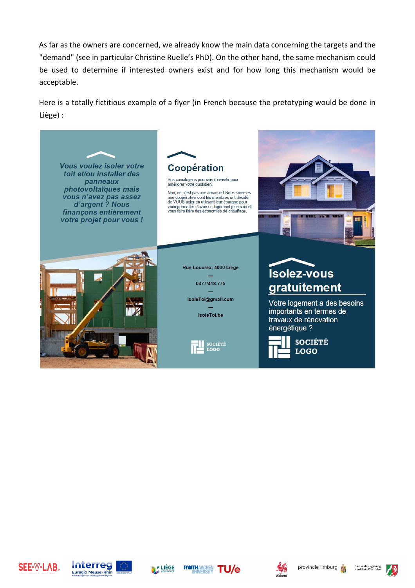As far as the owners are concerned, we already know the main data concerning the targets and the "demand" (see in particular Christine Ruelle's PhD). On the other hand, the same mechanism could be used to determine if interested owners exist and for how long this mechanism would be acceptable.

Here is a totally fictitious example of a flyer (in French because the pretotyping would be done in Liège) :